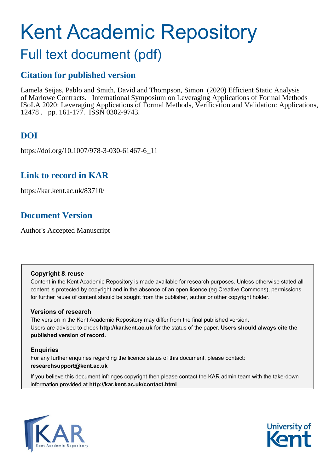# Kent Academic Repository

## Full text document (pdf)

## **Citation for published version**

Lamela Seijas, Pablo and Smith, David and Thompson, Simon (2020) Efficient Static Analysis of Marlowe Contracts. International Symposium on Leveraging Applications of Formal Methods ISoLA 2020: Leveraging Applications of Formal Methods, Verification and Validation: Applications, 12478 . pp. 161-177. ISSN 0302-9743.

## **DOI**

https://doi.org/10.1007/978-3-030-61467-6\_11

## **Link to record in KAR**

https://kar.kent.ac.uk/83710/

## **Document Version**

Author's Accepted Manuscript

#### **Copyright & reuse**

Content in the Kent Academic Repository is made available for research purposes. Unless otherwise stated all content is protected by copyright and in the absence of an open licence (eg Creative Commons), permissions for further reuse of content should be sought from the publisher, author or other copyright holder.

#### **Versions of research**

The version in the Kent Academic Repository may differ from the final published version. Users are advised to check **http://kar.kent.ac.uk** for the status of the paper. **Users should always cite the published version of record.**

#### **Enquiries**

For any further enquiries regarding the licence status of this document, please contact: **researchsupport@kent.ac.uk**

If you believe this document infringes copyright then please contact the KAR admin team with the take-down information provided at **http://kar.kent.ac.uk/contact.html**



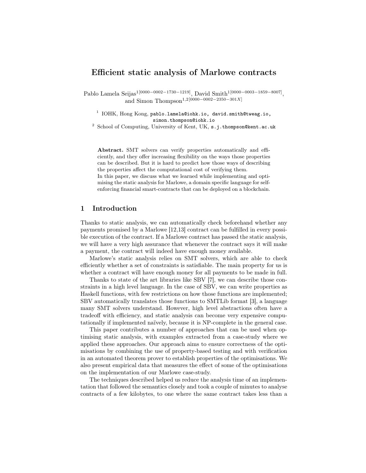#### Efficient static analysis of Marlowe contracts

Pablo Lamela Seijas<sup>1[0000–0002–1730–1219]</sup>, David Smith<sup>1[0000–0003–1859–8007],</sup> and Simon Thompson<sup>1,2</sup>[0000−0002−2350−301X]

 $^1$  IOHK, Hong Kong, pablo.lamela@iohk.io, david.smith@tweag.io, simon.thompson@iohk.io

<sup>2</sup> School of Computing, University of Kent, UK, s.j.thompson@kent.ac.uk

Abstract. SMT solvers can verify properties automatically and efficiently, and they offer increasing flexibility on the ways those properties can be described. But it is hard to predict how those ways of describing the properties affect the computational cost of verifying them. In this paper, we discuss what we learned while implementing and optimising the static analysis for Marlowe, a domain specific language for selfenforcing financial smart-contracts that can be deployed on a blockchain.

#### 1 Introduction

Thanks to static analysis, we can automatically check beforehand whether any payments promised by a Marlowe [12,13] contract can be fulfilled in every possible execution of the contract. If a Marlowe contract has passed the static analysis, we will have a very high assurance that whenever the contract says it will make a payment, the contract will indeed have enough money available.

Marlowe's static analysis relies on SMT solvers, which are able to check efficiently whether a set of constraints is satisfiable. The main property for us is whether a contract will have enough money for all payments to be made in full.

Thanks to state of the art libraries like SBV [7], we can describe those constraints in a high level language. In the case of SBV, we can write properties as Haskell functions, with few restrictions on how those functions are implemented; SBV automatically translates those functions to SMTLib format [3], a language many SMT solvers understand. However, high level abstractions often have a tradeoff with efficiency, and static analysis can become very expensive computationally if implemented naïvely, because it is NP-complete in the general case.

This paper contributes a number of approaches that can be used when optimising static analysis, with examples extracted from a case-study where we applied these approaches. Our approach aims to ensure correctness of the optimisations by combining the use of property-based testing and with verification in an automated theorem prover to establish properties of the optimisations. We also present empirical data that measures the effect of some of the optimisations on the implementation of our Marlowe case-study.

The techniques described helped us reduce the analysis time of an implementation that followed the semantics closely and took a couple of minutes to analyse contracts of a few kilobytes, to one where the same contract takes less than a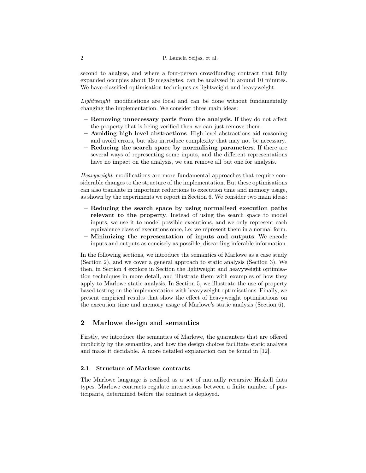#### 2 P. Lamela Seijas, et al.

second to analyse, and where a four-person crowdfunding contract that fully expanded occupies about 19 megabytes, can be analysed in around 10 minutes. We have classified optimisation techniques as lightweight and heavyweight.

Lightweight modifications are local and can be done without fundamentally changing the implementation. We consider three main ideas:

- Removing unnecessary parts from the analysis. If they do not affect the property that is being verified then we can just remove them.
- Avoiding high level abstractions. High level abstractions aid reasoning and avoid errors, but also introduce complexity that may not be necessary.
- Reducing the search space by normalising parameters. If there are several ways of representing some inputs, and the different representations have no impact on the analysis, we can remove all but one for analysis.

Heavyweight modifications are more fundamental approaches that require considerable changes to the structure of the implementation. But these optimisations can also translate in important reductions to execution time and memory usage, as shown by the experiments we report in Section 6. We consider two main ideas:

– Reducing the search space by using normalised execution paths relevant to the property. Instead of using the search space to model inputs, we use it to model possible executions, and we only represent each equivalence class of executions once, i.e: we represent them in a normal form. – Minimizing the representation of inputs and outputs. We encode inputs and outputs as concisely as possible, discarding inferable information.

In the following sections, we introduce the semantics of Marlowe as a case study (Section 2), and we cover a general approach to static analysis (Section 3). We then, in Section 4 explore in Section the lightweight and heavyweight optimisation techniques in more detail, and illustrate them with examples of how they apply to Marlowe static analysis. In Section 5, we illustrate the use of property based testing on the implementation with heavyweight optimisations. Finally, we present empirical results that show the effect of heavyweight optimisations on the execution time and memory usage of Marlowe's static analysis (Section 6).

#### 2 Marlowe design and semantics

Firstly, we introduce the semantics of Marlowe, the guarantees that are offered implicitly by the semantics, and how the design choices facilitate static analysis and make it decidable. A more detailed explanation can be found in [12].

#### 2.1 Structure of Marlowe contracts

The Marlowe language is realised as a set of mutually recursive Haskell data types. Marlowe contracts regulate interactions between a finite number of participants, determined before the contract is deployed.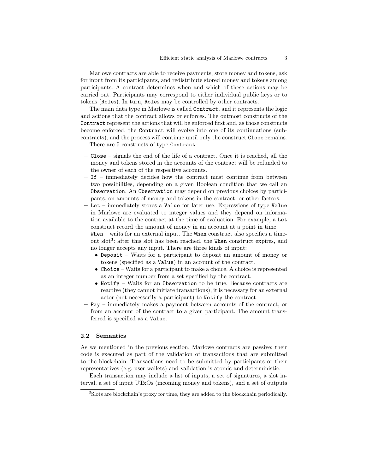Marlowe contracts are able to receive payments, store money and tokens, ask for input from its participants, and redistribute stored money and tokens among participants. A contract determines when and which of these actions may be carried out. Participants may correspond to either individual public keys or to tokens (Roles). In turn, Roles may be controlled by other contracts.

The main data type in Marlowe is called Contract, and it represents the logic and actions that the contract allows or enforces. The outmost constructs of the Contract represent the actions that will be enforced first and, as those constructs become enforced, the Contract will evolve into one of its continuations (subcontracts), and the process will continue until only the construct Close remains.

There are 5 constructs of type Contract:

- Close signals the end of the life of a contract. Once it is reached, all the money and tokens stored in the accounts of the contract will be refunded to the owner of each of the respective accounts.
- If immediately decides how the contract must continue from between two possibilities, depending on a given Boolean condition that we call an Observation. An Observation may depend on previous choices by participants, on amounts of money and tokens in the contract, or other factors.
- Let immediately stores a Value for later use. Expressions of type Value in Marlowe are evaluated to integer values and they depend on information available to the contract at the time of evaluation. For example, a Let construct record the amount of money in an account at a point in time.
- When waits for an external input. The When construct also specifies a timeout slot<sup>3</sup>: after this slot has been reached, the When construct expires, and no longer accepts any input. There are three kinds of input:
	- Deposit Waits for a participant to deposit an amount of money or tokens (specified as a Value) in an account of the contract.
	- Choice Waits for a participant to make a choice. A choice is represented as an integer number from a set specified by the contract.
	- Notify Waits for an Observation to be true. Because contracts are reactive (they cannot initiate transactions), it is necessary for an external actor (not necessarily a participant) to Notify the contract.
- Pay immediately makes a payment between accounts of the contract, or from an account of the contract to a given participant. The amount transferred is specified as a Value.

#### 2.2 Semantics

As we mentioned in the previous section, Marlowe contracts are passive: their code is executed as part of the validation of transactions that are submitted to the blockchain. Transactions need to be submitted by participants or their representatives (e.g. user wallets) and validation is atomic and deterministic.

Each transaction may include a list of inputs, a set of signatures, a slot interval, a set of input UTxOs (incoming money and tokens), and a set of outputs

<sup>3</sup>Slots are blockchain's proxy for time, they are added to the blockchain periodically.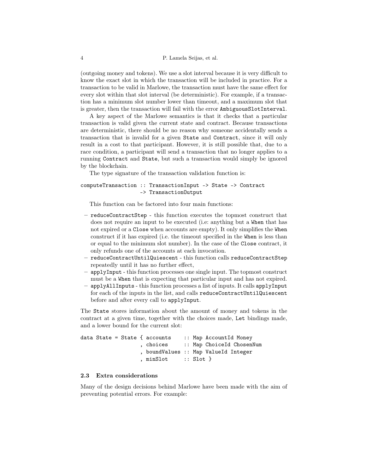#### 4 P. Lamela Seijas, et al.

(outgoing money and tokens). We use a slot interval because it is very difficult to know the exact slot in which the transaction will be included in practice. For a transaction to be valid in Marlowe, the transaction must have the same effect for every slot within that slot interval (be deterministic). For example, if a transaction has a minimum slot number lower than timeout, and a maximum slot that is greater, then the transaction will fail with the error AmbiguousSlotInterval.

A key aspect of the Marlowe semantics is that it checks that a particular transaction is valid given the current state and contract. Because transactions are deterministic, there should be no reason why someone accidentally sends a transaction that is invalid for a given State and Contract, since it will only result in a cost to that participant. However, it is still possible that, due to a race condition, a participant will send a transaction that no longer applies to a running Contract and State, but such a transaction would simply be ignored by the blockchain.

The type signature of the transaction validation function is:

#### computeTransaction :: TransactionInput -> State -> Contract -> TransactionOutput

This function can be factored into four main functions:

- reduceContractStep this function executes the topmost construct that does not require an input to be executed (i.e: anything but a When that has not expired or a Close when accounts are empty). It only simplifies the When construct if it has expired (i.e. the timeout specified in the When is less than or equal to the minimum slot number). In the case of the Close contract, it only refunds one of the accounts at each invocation.
- reduceContractUntilQuiescent this function calls reduceContractStep repeatedly until it has no further effect,
- applyInput this function processes one single input. The topmost construct must be a When that is expecting that particular input and has not expired.
- applyAllInputs this function processes a list of inputs. It calls applyInput for each of the inputs in the list, and calls reduceContractUntilQuiescent before and after every call to applyInput.

The State stores information about the amount of money and tokens in the contract at a given time, together with the choices made, Let bindings made, and a lower bound for the current slot:

```
data State = State { accounts :: Map AccountId Money
       , choices :: Map ChoiceId ChosenNum
       , boundValues :: Map ValueId Integer
       , minSlot :: Slot }
```
#### 2.3 Extra considerations

Many of the design decisions behind Marlowe have been made with the aim of preventing potential errors. For example: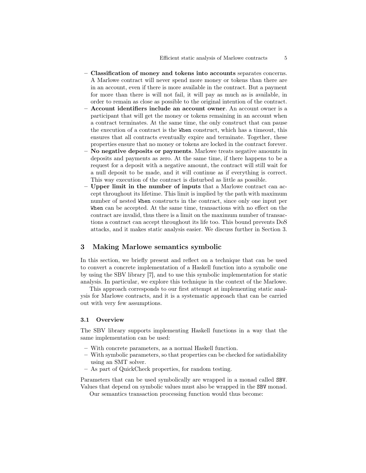- Classification of money and tokens into accounts separates concerns. A Marlowe contract will never spend more money or tokens than there are in an account, even if there is more available in the contract. But a payment for more than there is will not fail, it will pay as much as is available, in order to remain as close as possible to the original intention of the contract.
- Account identifiers include an account owner. An account owner is a participant that will get the money or tokens remaining in an account when a contract terminates. At the same time, the only construct that can pause the execution of a contract is the When construct, which has a timeout, this ensures that all contracts eventually expire and terminate. Together, these properties ensure that no money or tokens are locked in the contract forever.
- No negative deposits or payments. Marlowe treats negative amounts in deposits and payments as zero. At the same time, if there happens to be a request for a deposit with a negative amount, the contract will still wait for a null deposit to be made, and it will continue as if everything is correct. This way execution of the contract is disturbed as little as possible.
- Upper limit in the number of inputs that a Marlowe contract can accept throughout its lifetime. This limit is implied by the path with maximum number of nested When constructs in the contract, since only one input per When can be accepted. At the same time, transactions with no effect on the contract are invalid, thus there is a limit on the maximum number of transactions a contract can accept throughout its life too. This bound prevents DoS attacks, and it makes static analysis easier. We discuss further in Section 3.

#### 3 Making Marlowe semantics symbolic

In this section, we briefly present and reflect on a technique that can be used to convert a concrete implementation of a Haskell function into a symbolic one by using the SBV library [7], and to use this symbolic implementation for static analysis. In particular, we explore this technique in the context of the Marlowe.

This approach corresponds to our first attempt at implementing static analysis for Marlowe contracts, and it is a systematic approach that can be carried out with very few assumptions.

#### 3.1 Overview

The SBV library supports implementing Haskell functions in a way that the same implementation can be used:

- With concrete parameters, as a normal Haskell function.
- With symbolic parameters, so that properties can be checked for satisfiability using an SMT solver.
- As part of QuickCheck properties, for random testing.

Parameters that can be used symbolically are wrapped in a monad called SBV. Values that depend on symbolic values must also be wrapped in the SBV monad.

Our semantics transaction processing function would thus become: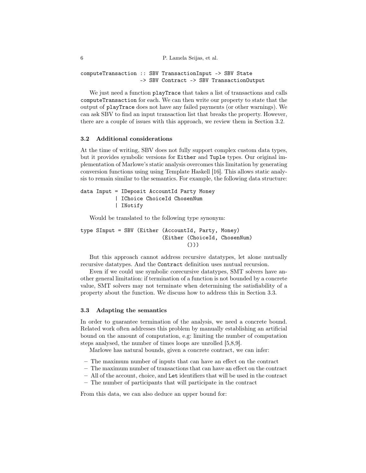```
6 P. Lamela Seijas, et al.
```
computeTransaction :: SBV TransactionInput -> SBV State -> SBV Contract -> SBV TransactionOutput

We just need a function playTrace that takes a list of transactions and calls computeTransaction for each. We can then write our property to state that the output of playTrace does not have any failed payments (or other warnings). We can ask SBV to find an input transaction list that breaks the property. However, there are a couple of issues with this approach, we review them in Section 3.2.

#### 3.2 Additional considerations

At the time of writing, SBV does not fully support complex custom data types, but it provides symbolic versions for Either and Tuple types. Our original implementation of Marlowe's static analysis overcomes this limitation by generating conversion functions using using Template Haskell [16]. This allows static analysis to remain similar to the semantics. For example, the following data structure:

```
data Input = IDeposit AccountId Party Money
| IChoice ChoiceId ChosenNum
| INotify
```
Would be translated to the following type synonym:

```
type SInput = SBV (Either (AccountId, Party, Money)
                (Either (ChoiceId, ChosenNum)
                        ()))
```
But this approach cannot address recursive datatypes, let alone mutually recursive datatypes. And the Contract definition uses mutual recursion.

Even if we could use symbolic corecursive datatypes, SMT solvers have another general limitation: if termination of a function is not bounded by a concrete value, SMT solvers may not terminate when determining the satisfiability of a property about the function. We discuss how to address this in Section 3.3.

#### 3.3 Adapting the semantics

In order to guarantee termination of the analysis, we need a concrete bound. Related work often addresses this problem by manually establishing an artificial bound on the amount of computation, e.g: limiting the number of computation steps analysed, the number of times loops are unrolled [5,8,9].

Marlowe has natural bounds, given a concrete contract, we can infer:

- The maximum number of inputs that can have an effect on the contract
- The maximum number of transactions that can have an effect on the contract
- All of the account, choice, and Let identifiers that will be used in the contract
- The number of participants that will participate in the contract

From this data, we can also deduce an upper bound for: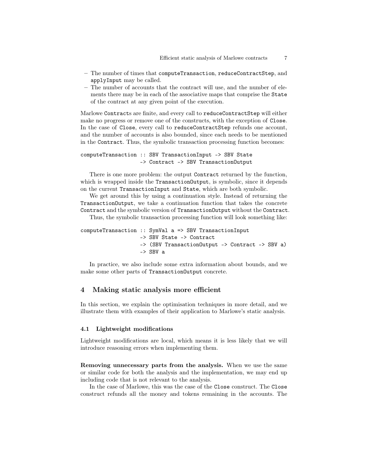- The number of times that computeTransaction, reduceContractStep, and applyInput may be called.
- The number of accounts that the contract will use, and the number of elements there may be in each of the associative maps that comprise the State of the contract at any given point of the execution.

Marlowe Contracts are finite, and every call to reduceContractStep will either make no progress or remove one of the constructs, with the exception of Close. In the case of Close, every call to reduceContractStep refunds one account, and the number of accounts is also bounded, since each needs to be mentioned in the Contract. Thus, the symbolic transaction processing function becomes:

```
computeTransaction :: SBV TransactionInput -> SBV State
        -> Contract -> SBV TransactionOutput
```
There is one more problem: the output Contract returned by the function, which is wrapped inside the TransactionOutput, is symbolic, since it depends on the current TransactionInput and State, which are both symbolic.

We get around this by using a continuation style. Instead of returning the TransactionOutput, we take a continuation function that takes the concrete Contract and the symbolic version of TransactionOutput without the Contract.

Thus, the symbolic transaction processing function will look something like:

```
computeTransaction :: SymVal a => SBV TransactionInput
         -> SBV State -> Contract
         -> (SBV TransactionOutput -> Contract -> SBV a)
         \rightarrow SBV a
```
In practice, we also include some extra information about bounds, and we make some other parts of TransactionOutput concrete.

#### 4 Making static analysis more efficient

In this section, we explain the optimisation techniques in more detail, and we illustrate them with examples of their application to Marlowe's static analysis.

#### 4.1 Lightweight modifications

Lightweight modifications are local, which means it is less likely that we will introduce reasoning errors when implementing them.

Removing unnecessary parts from the analysis. When we use the same or similar code for both the analysis and the implementation, we may end up including code that is not relevant to the analysis.

In the case of Marlowe, this was the case of the Close construct. The Close construct refunds all the money and tokens remaining in the accounts. The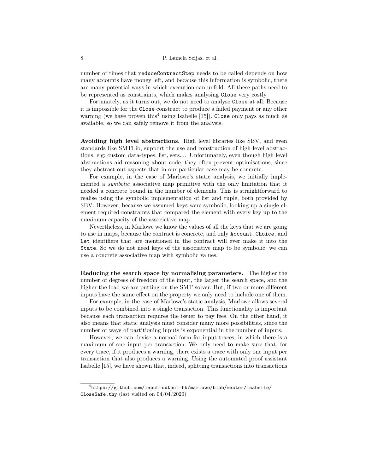number of times that reduceContractStep needs to be called depends on how many accounts have money left, and because this information is symbolic, there are many potential ways in which execution can unfold. All these paths need to be represented as constraints, which makes analysing Close very costly.

Fortunately, as it turns out, we do not need to analyse Close at all. Because it is impossible for the Close construct to produce a failed payment or any other warning (we have proven this<sup>4</sup> using Isabelle [15]). Close only pays as much as available, so we can safely remove it from the analysis.

Avoiding high level abstractions. High level libraries like SBV, and even standards like SMTLib, support the use and construction of high level abstractions, e.g: custom data-types, list, sets. . . Unfortunately, even though high level abstractions aid reasoning about code, they often prevent optimisations, since they abstract out aspects that in our particular case may be concrete.

For example, in the case of Marlowe's static analysis, we initially implemented a symbolic associative map primitive with the only limitation that it needed a concrete bound in the number of elements. This is straightforward to realise using the symbolic implementation of list and tuple, both provided by SBV. However, because we assumed keys were symbolic, looking up a single element required constraints that compared the element with every key up to the maximum capacity of the associative map.

Nevertheless, in Marlowe we know the values of all the keys that we are going to use in maps, because the contract is concrete, and only Account, Choice, and Let identifiers that are mentioned in the contract will ever make it into the State. So we do not need keys of the associative map to be symbolic, we can use a concrete associative map with symbolic values.

Reducing the search space by normalising parameters. The higher the number of degrees of freedom of the input, the larger the search space, and the higher the load we are putting on the SMT solver. But, if two or more different inputs have the same effect on the property we only need to include one of them.

For example, in the case of Marlowe's static analysis, Marlowe allows several inputs to be combined into a single transaction. This functionality is important because each transaction requires the issuer to pay fees. On the other hand, it also means that static analysis must consider many more possibilities, since the number of ways of partitioning inputs is exponential in the number of inputs.

However, we can devise a normal form for input traces, in which there is a maximum of one input per transaction. We only need to make sure that, for every trace, if it produces a warning, there exists a trace with only one input per transaction that also produces a warning. Using the automated proof assistant Isabelle [15], we have shown that, indeed, splitting transactions into transactions

 $^4$ https://github.com/input-output-hk/marlowe/blob/master/isabelle/ CloseSafe.thy (last visited on 04/04/2020)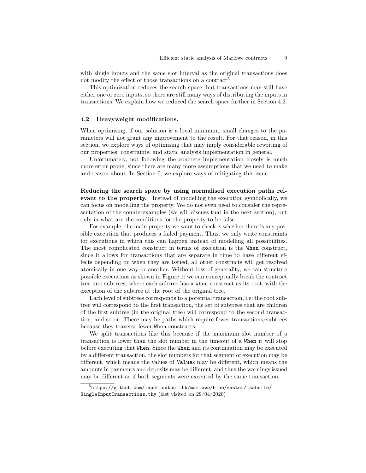with single inputs and the same slot interval as the original transactions does not modify the effect of those transactions on a contract<sup>5</sup>.

This optimization reduces the search space, but transactions may still have either one or zero inputs, so there are still many ways of distributing the inputs in transactions. We explain how we reduced the search space further in Section 4.2.

#### 4.2 Heavyweight modifications.

When optimising, if our solution is a local minimum, small changes to the parameters will not grant any improvement to the result. For that reason, in this section, we explore ways of optimising that may imply considerable rewriting of our properties, constraints, and static analysis implementation in general.

Unfortunately, not following the concrete implementation closely is much more error prone, since there are many more assumptions that we need to make and reason about. In Section 5, we explore ways of mitigating this issue.

Reducing the search space by using normalised execution paths relevant to the property. Instead of modelling the execution symbolically, we can focus on modelling the property. We do not even need to consider the representation of the counterexamples (we will discuss that in the next section), but only in what are the conditions for the property to be false.

For example, the main property we want to check is whether there is any possible execution that produces a failed payment. Thus, we only write constraints for executions in which this can happen instead of modelling all possibilities. The most complicated construct in terms of execution is the When construct, since it allows for transactions that are separate in time to have different effects depending on when they are issued, all other constructs will get resolved atomically in one way or another. Without loss of generality, we can structure possible executions as shown in Figure 1: we can conceptually break the contract tree into subtrees, where each subtree has a When construct as its root, with the exception of the subtree at the root of the original tree.

Each level of subtrees corresponds to a potential transaction, i.e: the root subtree will correspond to the first transaction, the set of subtrees that are children of the first subtree (in the original tree) will correspond to the second transaction, and so on. There may be paths which require fewer transactions/subtrees because they traverse fewer When constructs.

We split transactions like this because if the maximum slot number of a transaction is lower than the slot number in the timeout of a When it will stop before executing that When. Since the When and its continuation may be executed by a different transaction, the slot numbers for that segment of execution may be different, which means the values of Values may be different, which means the amounts in payments and deposits may be different, and thus the warnings issued may be different as if both segments were executed by the same transaction.

 $^5$ https://github.com/input-output-hk/marlowe/blob/master/isabelle/ SingleInputTransactions.thy (last visited on 29/04/2020)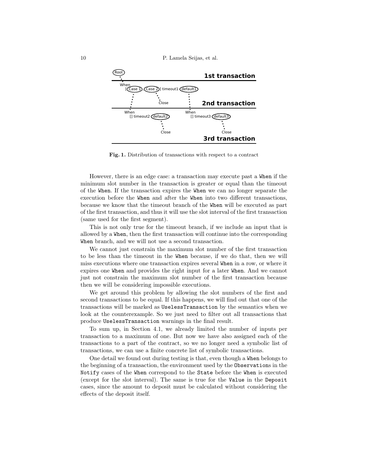10 P. Lamela Seijas, et al.



Fig. 1. Distribution of transactions with respect to a contract

However, there is an edge case: a transaction may execute past a When if the minimum slot number in the transaction is greater or equal than the timeout of the When. If the transaction expires the When we can no longer separate the execution before the When and after the When into two different transactions, because we know that the timeout branch of the When will be executed as part of the first transaction, and thus it will use the slot interval of the first transaction (same used for the first segment).

This is not only true for the timeout branch, if we include an input that is allowed by a When, then the first transaction will continue into the corresponding When branch, and we will not use a second transaction.

We cannot just constrain the maximum slot number of the first transaction to be less than the timeout in the When because, if we do that, then we will miss executions where one transaction expires several When in a row, or where it expires one When and provides the right input for a later When. And we cannot just not constrain the maximum slot number of the first transaction because then we will be considering impossible executions.

We get around this problem by allowing the slot numbers of the first and second transactions to be equal. If this happens, we will find out that one of the transactions will be marked as UselessTransaction by the semantics when we look at the counterexample. So we just need to filter out all transactions that produce UselessTransaction warnings in the final result.

To sum up, in Section 4.1, we already limited the number of inputs per transaction to a maximum of one. But now we have also assigned each of the transactions to a part of the contract, so we no longer need a symbolic list of transactions, we can use a finite concrete list of symbolic transactions.

One detail we found out during testing is that, even though a When belongs to the beginning of a transaction, the environment used by the Observations in the Notify cases of the When correspond to the State before the When is executed (except for the slot interval). The same is true for the Value in the Deposit cases, since the amount to deposit must be calculated without considering the effects of the deposit itself.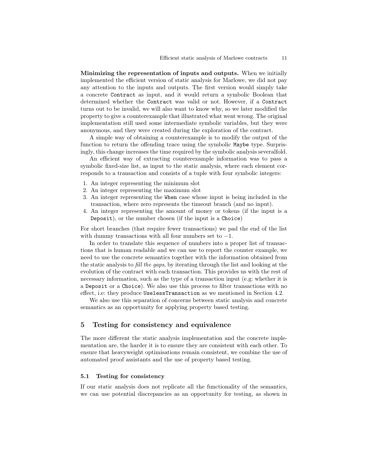Minimizing the representation of inputs and outputs. When we initially implemented the efficient version of static analysis for Marlowe, we did not pay any attention to the inputs and outputs. The first version would simply take a concrete Contract as input, and it would return a symbolic Boolean that determined whether the Contract was valid or not. However, if a Contract turns out to be invalid, we will also want to know why, so we later modified the property to give a counterexample that illustrated what went wrong. The original implementation still used some intermediate symbolic variables, but they were anonymous, and they were created during the exploration of the contract.

A simple way of obtaining a counterexample is to modify the output of the function to return the offending trace using the symbolic Maybe type. Surprisingly, this change increases the time required by the symbolic analysis severalfold.

An efficient way of extracting counterexample information was to pass a symbolic fixed-size list, as input to the static analysis, where each element corresponds to a transaction and consists of a tuple with four symbolic integers:

- 1. An integer representing the minimum slot
- 2. An integer representing the maximum slot
- 3. An integer representing the When case whose input is being included in the transaction, where zero represents the timeout branch (and no input).
- 4. An integer representing the amount of money or tokens (if the input is a Deposit), or the number chosen (if the input is a Choice)

For short branches (that require fewer transactions) we pad the end of the list with dummy transactions with all four numbers set to  $-1$ .

In order to translate this sequence of numbers into a proper list of transactions that is human readable and we can use to report the counter example, we need to use the concrete semantics together with the information obtained from the static analysis to fill the gaps, by iterating through the list and looking at the evolution of the contract with each transaction. This provides us with the rest of necessary information, such as the type of a transaction input (e.g: whether it is a Deposit or a Choice). We also use this process to filter transactions with no effect, i.e: they produce UselessTransaction as we mentioned in Section 4.2.

We also use this separation of concerns between static analysis and concrete semantics as an opportunity for applying property based testing.

#### 5 Testing for consistency and equivalence

The more different the static analysis implementation and the concrete implementation are, the harder it is to ensure they are consistent with each other. To ensure that heavyweight optimisations remain consistent, we combine the use of automated proof assistants and the use of property based testing.

#### 5.1 Testing for consistency

If our static analysis does not replicate all the functionality of the semantics, we can use potential discrepancies as an opportunity for testing, as shown in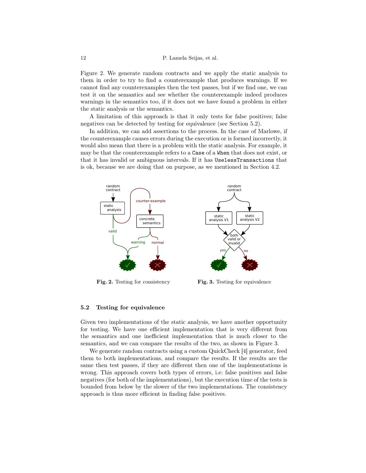Figure 2. We generate random contracts and we apply the static analysis to them in order to try to find a counterexample that produces warnings. If we cannot find any counterexamples then the test passes, but if we find one, we can test it on the semantics and see whether the counterexample indeed produces warnings in the semantics too, if it does not we have found a problem in either the static analysis or the semantics.

A limitation of this approach is that it only tests for false positives; false negatives can be detected by testing for equivalence (see Section 5.2).

In addition, we can add assertions to the process. In the case of Marlowe, if the counterexample causes errors during the execution or is formed incorrectly, it would also mean that there is a problem with the static analysis. For example, it may be that the counterexample refers to a Case of a When that does not exist, or that it has invalid or ambiguous intervals. If it has UselessTransactions that is ok, because we are doing that on purpose, as we mentioned in Section 4.2.



Fig. 2. Testing for consistency

Fig. 3. Testing for equivalence

#### 5.2 Testing for equivalence

Given two implementations of the static analysis, we have another opportunity for testing. We have one efficient implementation that is very different from the semantics and one inefficient implementation that is much closer to the semantics, and we can compare the results of the two, as shown in Figure 3.

We generate random contracts using a custom QuickCheck [4] generator, feed them to both implementations, and compare the results. If the results are the same then test passes, if they are different then one of the implementations is wrong. This approach covers both types of errors, i.e: false positives and false negatives (for both of the implementations), but the execution time of the tests is bounded from below by the slower of the two implementations. The consistency approach is thus more efficient in finding false positives.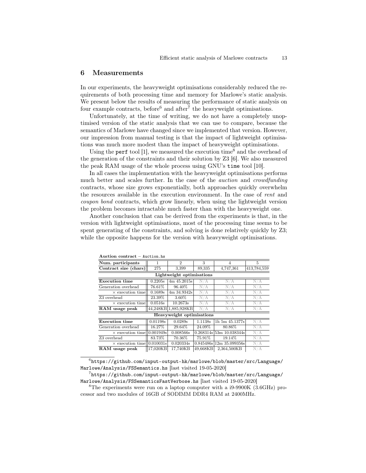#### 6 Measurements

In our experiments, the heavyweight optimisations considerably reduced the requirements of both processing time and memory for Marlowe's static analysis. We present below the results of measuring the performance of static analysis on four example contracts, before  $6$  and after<sup>7</sup> the heavyweight optimisations.

Unfortunately, at the time of writing, we do not have a completely unoptimised version of the static analysis that we can use to compare, because the semantics of Marlowe have changed since we implemented that version. However, our impression from manual testing is that the impact of lightweight optimisations was much more modest than the impact of heavyweight optimisations.

Using the perf tool [1], we measured the execution time<sup>8</sup> and the overhead of the generation of the constraints and their solution by Z3 [6]. We also measured the peak RAM usage of the whole process using GNU's time tool [10].

In all cases the implementation with the heavyweight optimisations performs much better and scales further. In the case of the auction and crowdfunding contracts, whose size grows exponentially, both approaches quickly overwhelm the resources available in the execution environment. In the case of rent and coupon bond contracts, which grow linearly, when using the lightweight version the problem becomes intractable much faster than with the heavyweight one.

Another conclusion that can be derived from the experiments is that, in the version with lightweight optimisations, most of the processing time seems to be spent generating of the constraints, and solving is done relatively quickly by Z3; while the opposite happens for the version with heavyweight optimisations.

| Num. participants                 | 1        | $\overline{2}$       | 3        | $\overline{4}$               | $\overline{5}$ |  |
|-----------------------------------|----------|----------------------|----------|------------------------------|----------------|--|
| Contract size (chars)             | 275      | 3,399                | 89,335   | 4,747,361                    | 413,784,559    |  |
| Lightweight optimisations         |          |                      |          |                              |                |  |
| <b>Execution time</b>             | 0.2205s  | 4m 45.2015s          | N/A      | N/A                          | N/A            |  |
| Generation overhead               | 76.61%   | 96.40\%              | N/A      | N/A                          | N/A            |  |
| $\times$ execution time           | 0.1689s  | 4m 34.9342s          | N/A      | N/A                          | N/A            |  |
| Z <sub>3</sub> overhead           | 23.39%   | 3.60%                | N/A      | N/A                          | N/A            |  |
| $\times$ execution time           | 0.0516s  | 10.2673s             | N/A      | N/A                          | N/A            |  |
| RAM usage peak                    |          | 44,248KB 1,885,928KB | N/A      | N/A                          | N/A            |  |
| Heavyweight optimisations         |          |                      |          |                              |                |  |
| <b>Execution time</b>             | 0.01198s | 0.0289s              | 1.1138s  | 1h 5m 45.1377s               | N/A            |  |
| Generation overhead               | 16.27%   | 29.64%               | 24.09%   | 80.86%                       | N/A            |  |
| $\times$ execution time 0.001949s |          | 0.008566s            |          | $0.268314s$ 53m 10.038344s   | N/A            |  |
| Z3 overhead                       | 83.73%   | 70.36%               | 75.91%   | 19.14\%                      | N/A            |  |
| $\times$ execution time 0.010031s |          | 0.020334s            |          | $0.845486s$ 12m $35.099356s$ | N/A            |  |
| RAM usage peak                    | 17,020KB | 17,740KB             | 49,668KB | 2,364,500KB                  | N/A            |  |

Auction contract – Auction.hs

 $^6$ https://github.com/input-output-hk/marlowe/blob/master/src/Language/ Marlowe/Analysis/FSSemantics.hs [last visited 19-05-2020]

 $^{7}$ https://github.com/input-output-hk/marlowe/blob/master/src/Language/ Marlowe/Analysis/FSSemanticsFastVerbose.hs [last visited 19-05-2020]

 ${}^{8}$ The experiments were run on a laptop computer with a i9-9900K (3.6GHz) processor and two modules of 16GB of SODIMM DDR4 RAM at 2400MHz.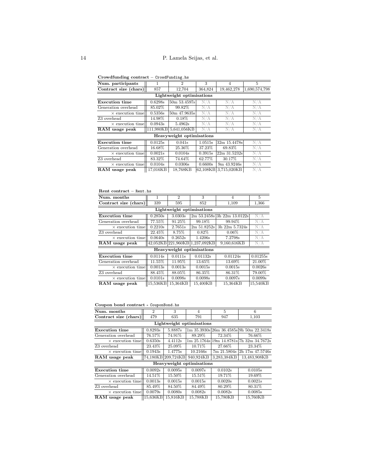|  |  | $Crowd funding contract - CrowdFunding.hs$ |
|--|--|--------------------------------------------|
|--|--|--------------------------------------------|

| Num. participants         | 1         | 2            | 3       | $\overline{4}$       | 5             |  |
|---------------------------|-----------|--------------|---------|----------------------|---------------|--|
| Contract size (chars)     | 857       | 12,704       | 364,824 | 19,462,278           | 1,690,574,798 |  |
| Lightweight optimisations |           |              |         |                      |               |  |
| <b>Execution time</b>     | 0.6298s   | 50m 53.4597s | N/A     | N/A                  | N/A           |  |
| Generation overhead       | 85.02%    | 99.82%       | N/A     | N/A                  | N/A           |  |
| $\times$ execution time   | 0.5356s   | 50m 47.9635s | N/A     | N/A                  | N/A           |  |
| Z <sub>3</sub> overhead   | 14.98%    | $0.18\%$     | N/A     | N/A                  | N/A           |  |
| $\times$ execution time   | 0.0943s   | 5.4962s      | N/A     | N/A                  | N/A           |  |
| RAM usage peak            | 111,980KB | 5,641,056KB  | N/A     | N/A                  | N/A           |  |
| Heavyweight optimisations |           |              |         |                      |               |  |
| <b>Execution time</b>     | 0.0125s   | 0.041s       | 1.0515s | 32m 15.4478s         | N/A           |  |
| Generation overhead       | 16.68%    | 25.36%       | 37.23%  | 69.83%               | N/A           |  |
| $\times$ execution time   | 0.0021s   | 0.0104s      | 0.3915s | 22m 31.5232s         | N/A           |  |
| Z3 overhead               | 83.32%    | 74.64%       | 62.77%  | 30.17%               | N/A           |  |
| $\times$ execution time   | 0.0104s   | 0.0306s      | 0.6600s | $9m$ 43.9246s        | N/A           |  |
| RAM usage peak            | 17,016KB  | 18,768KB     |         | 62,108KB 3,715,020KB | N/A           |  |

| Rent contract $-$ Rent, hs. |           |                    |                         |                 |                |
|-----------------------------|-----------|--------------------|-------------------------|-----------------|----------------|
| Num. months                 | 1         | $\mathcal{D}$      | $\overline{\mathbf{3}}$ | $\overline{4}$  | $\overline{5}$ |
| Contract size (chars)       | 339       | 595                | 852                     | 1,109           | 1,366          |
| Lightweight optimisations   |           |                    |                         |                 |                |
| <b>Execution time</b>       | 0.2850s   | 3.0303s            | 2m 53.2458s             | 3h 22m 13.0122s | N/A            |
| Generation overhead         | $77.55\%$ | 91.25\%            | 99.18%                  | 99.94%          | N/A            |
| $\times$ execution time     | 0.2210s   | 2.7651s            | 2m 51.8252s             | 3h 22m 5.7324s  | N/A            |
| Z3 overhead                 | 22.45\%   | 8.75%              | $0.82\%$                | $0.06\%$        | N/A            |
| $\times$ execution time     | 0.0640s   | 0.2652s            | 1.4206s                 | 7.2798s         | N/A            |
| RAM usage peak              |           | 42,052KB 221,960KB | 1,237,092KB             | 9,160,616KB     | N/A            |
| Heavyweight optimisations   |           |                    |                         |                 |                |
| <b>Execution time</b>       | 0.0114s   | 0.0111s            | 0.01132s                | 0.01124s        | 0.01255s       |
| Generation overhead         | $11.55\%$ | 11.95%             | $13.65\%$               | 13.69%          | 21.00%         |
| $\times$ execution time     | 0.0013s   | 0.0013s            | 0.0015s                 | 0.0015s         | 0.0026s        |
| Z <sub>3</sub> overhead     | 88.45%    | 88.05%             | 86.35%                  | 86.31\%         | 79.00%         |
| $\times$ execution time     | 0.0101s   | 0.0098s            | 0.0098s                 | 0.0097s         | 0.0099s        |
| RAM usage peak              | 15,536KB  | 15.364KB           | 15,400KB                | 15,364KB        | 15,540KB       |

#### Coupon bond contract - CouponBond.hs

| Num. months               | $\overline{2}$ | 3                  | 4         | $\overline{5}$           | 6                                        |  |
|---------------------------|----------------|--------------------|-----------|--------------------------|------------------------------------------|--|
| Contract size (chars)     | 479            | 635                | 791       | 947                      | 1.103                                    |  |
| Lightweight optimisations |                |                    |           |                          |                                          |  |
| <b>Execution time</b>     | 0.8293s        | 5.8887s            |           |                          | 1m 35.3930s 26m 36.4585s 9h 50m 22.3418s |  |
| Generation overhead       | 76.57%         | 74.91%             | 89.29%    | 72.34%                   | 76.66%                                   |  |
| $\times$ execution time   | 0.6350s        | 4.4112s            |           | 1m 25.1764s 19m 14.8781s | 7h 32m 34.7672s                          |  |
| Z3 overhead               | 23.43%         | 25.09%             | 10.71\%   | 27.66%                   | 23.34\%                                  |  |
| $\times$ execution time   | 0.1943s        | 1.4775s            | 10.2166s  | 7m 21.5804s              | 2h 17m 47.5746s                          |  |
| RAM usage peak            |                | 74.180KB 209.724KB | 940.924KB | 3,283,384KB              | 13,483,908KB                             |  |
| Heavyweight optimisations |                |                    |           |                          |                                          |  |
| <b>Execution time</b>     | 0.0092s        | 0.0095s            | 0.0097s   | 0.0102s                  | 0.0105s                                  |  |
| Generation overhead       | 14.51\%        | 15.50%             | 15.51\%   | 19.71\%                  | 19.69%                                   |  |
| $\times$ execution time   | 0.0013s        | 0.0015s            | 0.0015s   | 0.0020s                  | 0.0021s                                  |  |
| Z3 overhead               | 85.49%         | 84.50%             | 84.49%    | 80.29%                   | 80.31\%                                  |  |
| $\times$ execution time   | 0.0079s        | 0.0080s            | 0.0082s   | 0.0082s                  | 0.0085s                                  |  |
| RAM usage peak            | 15.636KB       | 15.816KB           | 15.788KB  | 15.780KB                 | 15.760KB                                 |  |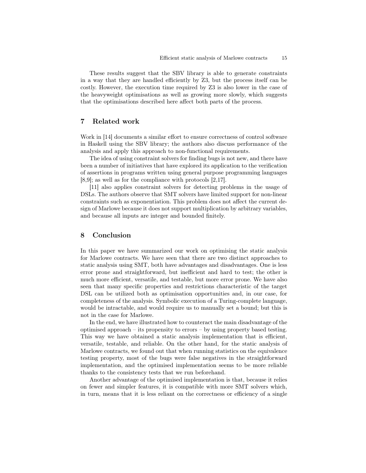These results suggest that the SBV library is able to generate constraints in a way that they are handled efficiently by Z3, but the process itself can be costly. However, the execution time required by Z3 is also lower in the case of the heavyweight optimisations as well as growing more slowly, which suggests that the optimisations described here affect both parts of the process.

#### 7 Related work

Work in [14] documents a similar effort to ensure correctness of control software in Haskell using the SBV library; the authors also discuss performance of the analysis and apply this approach to non-functional requirements.

The idea of using constraint solvers for finding bugs is not new, and there have been a number of initiatives that have explored its application to the verification of assertions in programs written using general purpose programming languages [8,9]; as well as for the compliance with protocols [2,17].

[11] also applies constraint solvers for detecting problems in the usage of DSLs. The authors observe that SMT solvers have limited support for non-linear constraints such as exponentiation. This problem does not affect the current design of Marlowe because it does not support multiplication by arbitrary variables, and because all inputs are integer and bounded finitely.

#### 8 Conclusion

In this paper we have summarized our work on optimising the static analysis for Marlowe contracts. We have seen that there are two distinct approaches to static analysis using SMT, both have advantages and disadvantages. One is less error prone and straightforward, but inefficient and hard to test; the other is much more efficient, versatile, and testable, but more error prone. We have also seen that many specific properties and restrictions characteristic of the target DSL can be utilized both as optimisation opportunities and, in our case, for completeness of the analysis. Symbolic execution of a Turing-complete language, would be intractable, and would require us to manually set a bound; but this is not in the case for Marlowe.

In the end, we have illustrated how to counteract the main disadvantage of the optimised approach – its propensity to errors – by using property based testing. This way we have obtained a static analysis implementation that is efficient, versatile, testable, and reliable. On the other hand, for the static analysis of Marlowe contracts, we found out that when running statistics on the equivalence testing property, most of the bugs were false negatives in the straightforward implementation, and the optimised implementation seems to be more reliable thanks to the consistency tests that we run beforehand.

Another advantage of the optimised implementation is that, because it relies on fewer and simpler features, it is compatible with more SMT solvers which, in turn, means that it is less reliant on the correctness or efficiency of a single